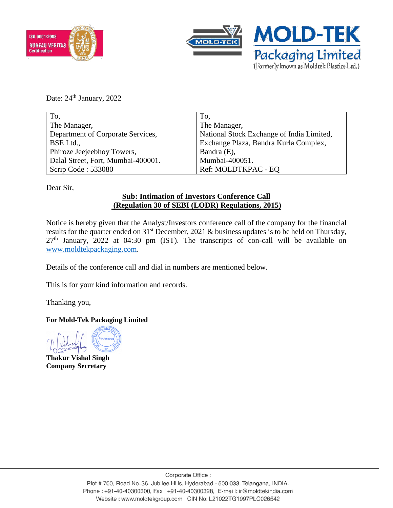



Date: 24<sup>th</sup> January, 2022

| To,                                | To,                                       |
|------------------------------------|-------------------------------------------|
| The Manager,                       | The Manager,                              |
| Department of Corporate Services,  | National Stock Exchange of India Limited, |
| BSE Ltd.,                          | Exchange Plaza, Bandra Kurla Complex,     |
| Phiroze Jeejeebhoy Towers,         | Bandra (E),                               |
| Dalal Street, Fort, Mumbai-400001. | Mumbai-400051.                            |
| Scrip Code: 533080                 | Ref: MOLDTKPAC - EQ                       |

Dear Sir,

## **Sub: Intimation of Investors Conference Call (Regulation 30 of SEBI (LODR) Regulations, 2015)**

Notice is hereby given that the Analyst/Investors conference call of the company for the financial results for the quarter ended on 31<sup>st</sup> December, 2021 & business updates is to be held on Thursday, 27<sup>th</sup> January, 2022 at 04:30 pm (IST). The transcripts of con-call will be available on [www.moldtekpackaging.com.](http://www.moldtekpackaging.com/)

Details of the conference call and dial in numbers are mentioned below.

This is for your kind information and records.

Thanking you,

## **For Mold-Tek Packaging Limited**

**Thakur Vishal Singh Company Secretary**